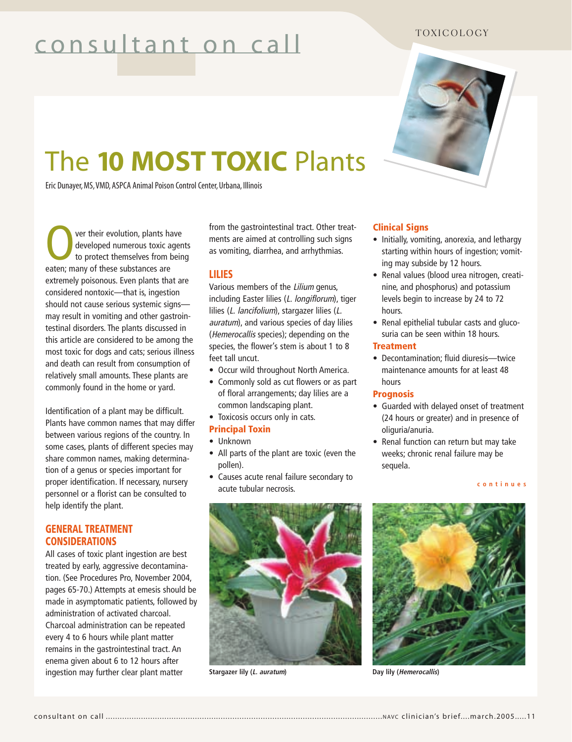# consultant on call

# TOXICOLOGY



# The **10 MOST TOXIC** Plants

Eric Dunayer, MS,VMD, ASPCA Animal Poison Control Center, Urbana, Illinois

**Over their evolution, plants have**<br>developed numerous toxic ager<br>to protect themselves from bein<br>eaten: many of these substances are developed numerous toxic agents to protect themselves from being eaten; many of these substances are extremely poisonous. Even plants that are considered nontoxic—that is, ingestion should not cause serious systemic signs may result in vomiting and other gastrointestinal disorders. The plants discussed in this article are considered to be among the most toxic for dogs and cats; serious illness and death can result from consumption of relatively small amounts. These plants are commonly found in the home or yard.

Identification of a plant may be difficult. Plants have common names that may differ between various regions of the country. In some cases, plants of different species may share common names, making determination of a genus or species important for proper identification. If necessary, nursery personnel or a florist can be consulted to help identify the plant.

# **GENERAL TREATMENT CONSIDERATIONS**

All cases of toxic plant ingestion are best treated by early, aggressive decontamination. (See Procedures Pro, November 2004, pages 65-70.) Attempts at emesis should be made in asymptomatic patients, followed by administration of activated charcoal. Charcoal administration can be repeated every 4 to 6 hours while plant matter remains in the gastrointestinal tract. An enema given about 6 to 12 hours after ingestion may further clear plant matter

from the gastrointestinal tract. Other treatments are aimed at controlling such signs as vomiting, diarrhea, and arrhythmias.

# **LILIES**

Various members of the Lilium genus, including Easter lilies (L. longiflorum), tiger lilies (L. lancifolium), stargazer lilies (L. auratum), and various species of day lilies (Hemerocallis species); depending on the species, the flower's stem is about 1 to 8 feet tall uncut.

- Occur wild throughout North America.
- Commonly sold as cut flowers or as part of floral arrangements; day lilies are a common landscaping plant.
- Toxicosis occurs only in cats.
- **Principal Toxin**
- Unknown
- All parts of the plant are toxic (even the pollen).
- Causes acute renal failure secondary to acute tubular necrosis.

#### **Clinical Signs**

- Initially, vomiting, anorexia, and lethargy starting within hours of ingestion; vomiting may subside by 12 hours.
- Renal values (blood urea nitrogen, creatinine, and phosphorus) and potassium levels begin to increase by 24 to 72 hours.
- Renal epithelial tubular casts and glucosuria can be seen within 18 hours.

### **Treatment**

• Decontamination; fluid diuresis—twice maintenance amounts for at least 48 hours

#### **Prognosis**

- Guarded with delayed onset of treatment (24 hours or greater) and in presence of oliguria/anuria.
- Renal function can return but may take weeks; chronic renal failure may be sequela.

#### **continues**



**Stargazer lily (L. auratum)**



**Day lily (Hemerocallis)**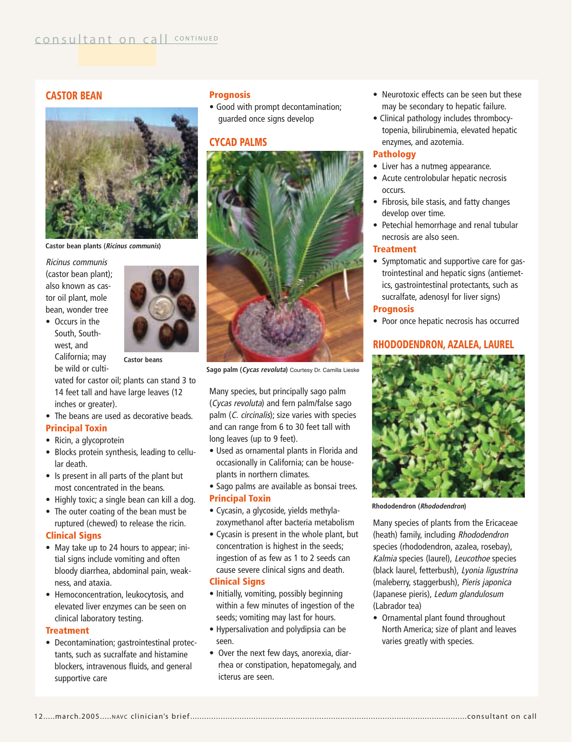# **CASTOR BEAN**



**Castor bean plants (Ricinus communis)**

Ricinus communis (castor bean plant); also known as castor oil plant, mole bean, wonder tree

• Occurs in the South, Southwest, and California; may be wild or culti-



**Castor beans**

vated for castor oil; plants can stand 3 to 14 feet tall and have large leaves (12 inches or greater).

• The beans are used as decorative beads. **Principal Toxin**

- Ricin, a glycoprotein
- Blocks protein synthesis, leading to cellular death.
- Is present in all parts of the plant but most concentrated in the beans.
- Highly toxic; a single bean can kill a dog.
- The outer coating of the bean must be ruptured (chewed) to release the ricin. **Clinical Signs**
- May take up to 24 hours to appear; initial signs include vomiting and often bloody diarrhea, abdominal pain, weakness, and ataxia.
- Hemoconcentration, leukocytosis, and elevated liver enzymes can be seen on clinical laboratory testing.

#### **Treatment**

• Decontamination; gastrointestinal protectants, such as sucralfate and histamine blockers, intravenous fluids, and general supportive care

# **Prognosis**

• Good with prompt decontamination; guarded once signs develop

# **CYCAD PALMS**



**Sago palm (Cycas revoluta)** Courtesy Dr. Camilla Lieske

Many species, but principally sago palm (Cycas revoluta) and fern palm/false sago palm (C. circinalis); size varies with species and can range from 6 to 30 feet tall with long leaves (up to 9 feet).

- Used as ornamental plants in Florida and occasionally in California; can be houseplants in northern climates.
- Sago palms are available as bonsai trees.

#### **Principal Toxin**

- Cycasin, a glycoside, yields methylazoxymethanol after bacteria metabolism
- Cycasin is present in the whole plant, but concentration is highest in the seeds; ingestion of as few as 1 to 2 seeds can cause severe clinical signs and death. **Clinical Signs**

# • Initially, vomiting, possibly beginning

- within a few minutes of ingestion of the seeds; vomiting may last for hours.
- Hypersalivation and polydipsia can be seen.
- Over the next few days, anorexia, diarrhea or constipation, hepatomegaly, and icterus are seen.
- Neurotoxic effects can be seen but these may be secondary to hepatic failure.
- Clinical pathology includes thrombocytopenia, bilirubinemia, elevated hepatic enzymes, and azotemia.

# **Pathology**

- Liver has a nutmeg appearance.
- Acute centrolobular hepatic necrosis occurs.
- Fibrosis, bile stasis, and fatty changes develop over time.
- Petechial hemorrhage and renal tubular necrosis are also seen.

#### **Treatment**

• Symptomatic and supportive care for gastrointestinal and hepatic signs (antiemetics, gastrointestinal protectants, such as sucralfate, adenosyl for liver signs)

#### **Prognosis**

• Poor once hepatic necrosis has occurred

# **RHODODENDRON, AZALEA, LAUREL**



**Rhododendron (Rhododendron)**

Many species of plants from the Ericaceae (heath) family, including Rhododendron species (rhododendron, azalea, rosebay), Kalmia species (laurel), Leucothoe species (black laurel, fetterbush), Lyonia ligustrina (maleberry, staggerbush), Pieris japonica (Japanese pieris), Ledum glandulosum (Labrador tea)

• Ornamental plant found throughout North America; size of plant and leaves varies greatly with species.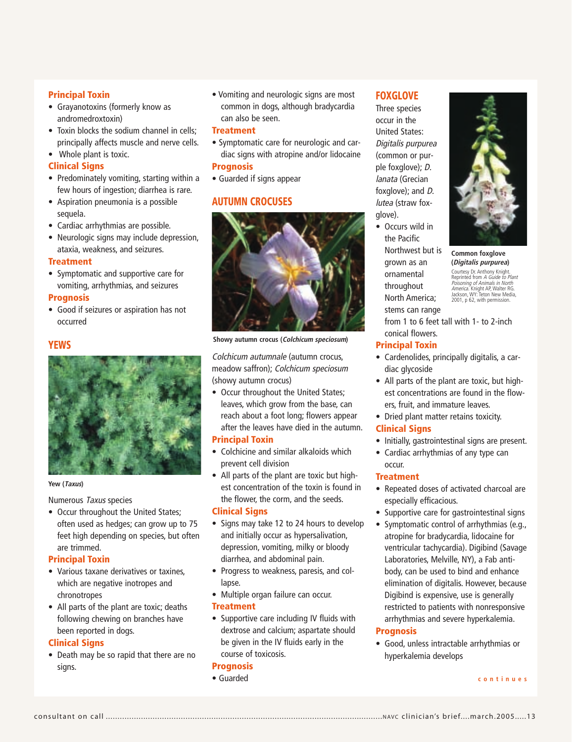#### **Principal Toxin**

- Grayanotoxins (formerly know as andromedroxtoxin)
- Toxin blocks the sodium channel in cells: principally affects muscle and nerve cells.
- Whole plant is toxic.

#### **Clinical Signs**

- Predominately vomiting, starting within a few hours of ingestion; diarrhea is rare.
- Aspiration pneumonia is a possible sequela.
- Cardiac arrhythmias are possible.
- Neurologic signs may include depression, ataxia, weakness, and seizures.

#### **Treatment**

• Symptomatic and supportive care for vomiting, arrhythmias, and seizures

#### **Prognosis**

• Good if seizures or aspiration has not occurred

#### **YEWS**



#### **Yew (Taxus)**

Numerous Taxus species

• Occur throughout the United States; often used as hedges; can grow up to 75 feet high depending on species, but often are trimmed.

#### **Principal Toxin**

- Various taxane derivatives or taxines, which are negative inotropes and chronotropes
- All parts of the plant are toxic; deaths following chewing on branches have been reported in dogs.

#### **Clinical Signs**

• Death may be so rapid that there are no signs.

• Vomiting and neurologic signs are most common in dogs, although bradycardia can also be seen.

### **Treatment**

- Symptomatic care for neurologic and cardiac signs with atropine and/or lidocaine **Prognosis**
- Guarded if signs appear

# **AUTUMN CROCUSES**



**Showy autumn crocus (Colchicum speciosum)**

Colchicum autumnale (autumn crocus, meadow saffron); Colchicum speciosum (showy autumn crocus)

• Occur throughout the United States; leaves, which grow from the base, can reach about a foot long; flowers appear after the leaves have died in the autumn.

#### **Principal Toxin**

- Colchicine and similar alkaloids which prevent cell division
- All parts of the plant are toxic but highest concentration of the toxin is found in the flower, the corm, and the seeds.

#### **Clinical Signs**

- Signs may take 12 to 24 hours to develop and initially occur as hypersalivation, depression, vomiting, milky or bloody diarrhea, and abdominal pain.
- Progress to weakness, paresis, and collapse.
- Multiple organ failure can occur.

#### **Treatment**

• Supportive care including IV fluids with dextrose and calcium; aspartate should be given in the IV fluids early in the course of toxicosis.

#### **Prognosis**

• Guarded

# **FOXGLOVE**

Three species occur in the United States: Digitalis purpurea (common or purple foxglove); D. lanata (Grecian foxglove); and D. lutea (straw foxglove).

• Occurs wild in the Pacific Northwest but is grown as an ornamental throughout North America; stems can range from 1 to 6 feet tall with 1- to 2-inch conical flowers.

#### **Principal Toxin**

- Cardenolides, principally digitalis, a cardiac glycoside
- All parts of the plant are toxic, but highest concentrations are found in the flowers, fruit, and immature leaves.
- Dried plant matter retains toxicity.

#### **Clinical Signs**

- Initially, gastrointestinal signs are present.
- Cardiac arrhythmias of any type can

#### occur. **Treatment**

- Repeated doses of activated charcoal are especially efficacious.
- Supportive care for gastrointestinal signs
- Symptomatic control of arrhythmias (e.g., atropine for bradycardia, lidocaine for ventricular tachycardia). Digibind (Savage Laboratories, Melville, NY), a Fab antibody, can be used to bind and enhance elimination of digitalis. However, because Digibind is expensive, use is generally restricted to patients with nonresponsive arrhythmias and severe hyperkalemia.

#### **Prognosis**

• Good, unless intractable arrhythmias or hyperkalemia develops

**continues**



**Common foxglove (Digitalis purpurea)**

Courtesy Dr. Anthony Knight.<br>Reprinted from *A Guide to Plant<br>Poisoning of Animals in North*<br>A*merica.* Knight AP, Walter RG.<br>Jackson, WY: Teton New Media,<br>2001, p 62, with permission.